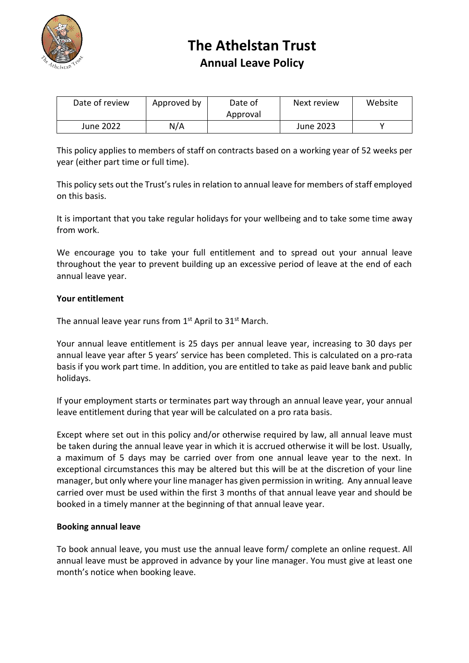

## **The Athelstan Trust Annual Leave Policy**

| Date of review | Approved by | Date of<br>Approval | Next review | Website |
|----------------|-------------|---------------------|-------------|---------|
| June 2022      | N/A         |                     | June 2023   |         |

This policy applies to members of staff on contracts based on a working year of 52 weeks per year (either part time or full time).

This policy sets out the Trust's rules in relation to annual leave for members of staff employed on this basis.

It is important that you take regular holidays for your wellbeing and to take some time away from work.

We encourage you to take your full entitlement and to spread out your annual leave throughout the year to prevent building up an excessive period of leave at the end of each annual leave year.

## **Your entitlement**

The annual leave year runs from  $1<sup>st</sup>$  April to 31 $<sup>st</sup>$  March.</sup>

Your annual leave entitlement is 25 days per annual leave year, increasing to 30 days per annual leave year after 5 years' service has been completed. This is calculated on a pro-rata basis if you work part time. In addition, you are entitled to take as paid leave bank and public holidays.

If your employment starts or terminates part way through an annual leave year, your annual leave entitlement during that year will be calculated on a pro rata basis.

Except where set out in this policy and/or otherwise required by law, all annual leave must be taken during the annual leave year in which it is accrued otherwise it will be lost. Usually, a maximum of 5 days may be carried over from one annual leave year to the next. In exceptional circumstances this may be altered but this will be at the discretion of your line manager, but only where your line manager has given permission in writing. Any annual leave carried over must be used within the first 3 months of that annual leave year and should be booked in a timely manner at the beginning of that annual leave year.

### **Booking annual leave**

To book annual leave, you must use the annual leave form/ complete an online request. All annual leave must be approved in advance by your line manager. You must give at least one month's notice when booking leave.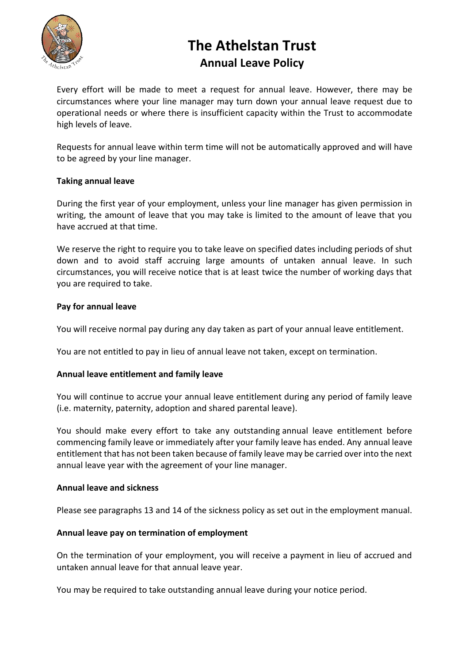

## **The Athelstan Trust Annual Leave Policy**

Every effort will be made to meet a request for annual leave. However, there may be circumstances where your line manager may turn down your annual leave request due to operational needs or where there is insufficient capacity within the Trust to accommodate high levels of leave.

Requests for annual leave within term time will not be automatically approved and will have to be agreed by your line manager.

## **Taking annual leave**

During the first year of your employment, unless your line manager has given permission in writing, the amount of leave that you may take is limited to the amount of leave that you have accrued at that time.

We reserve the right to require you to take leave on specified dates including periods of shut down and to avoid staff accruing large amounts of untaken annual leave. In such circumstances, you will receive notice that is at least twice the number of working days that you are required to take.

## **Pay for annual leave**

You will receive normal pay during any day taken as part of your annual leave entitlement.

You are not entitled to pay in lieu of annual leave not taken, except on termination.

### **Annual leave entitlement and family leave**

You will continue to accrue your annual leave entitlement during any period of family leave (i.e. maternity, paternity, adoption and shared parental leave).

You should make every effort to take any outstanding annual leave entitlement before commencing family leave or immediately after your family leave has ended. Any annual leave entitlement that has not been taken because of family leave may be carried over into the next annual leave year with the agreement of your line manager.

### **Annual leave and sickness**

Please see paragraphs 13 and 14 of the sickness policy as set out in the employment manual.

### **Annual leave pay on termination of employment**

On the termination of your employment, you will receive a payment in lieu of accrued and untaken annual leave for that annual leave year.

You may be required to take outstanding annual leave during your notice period.